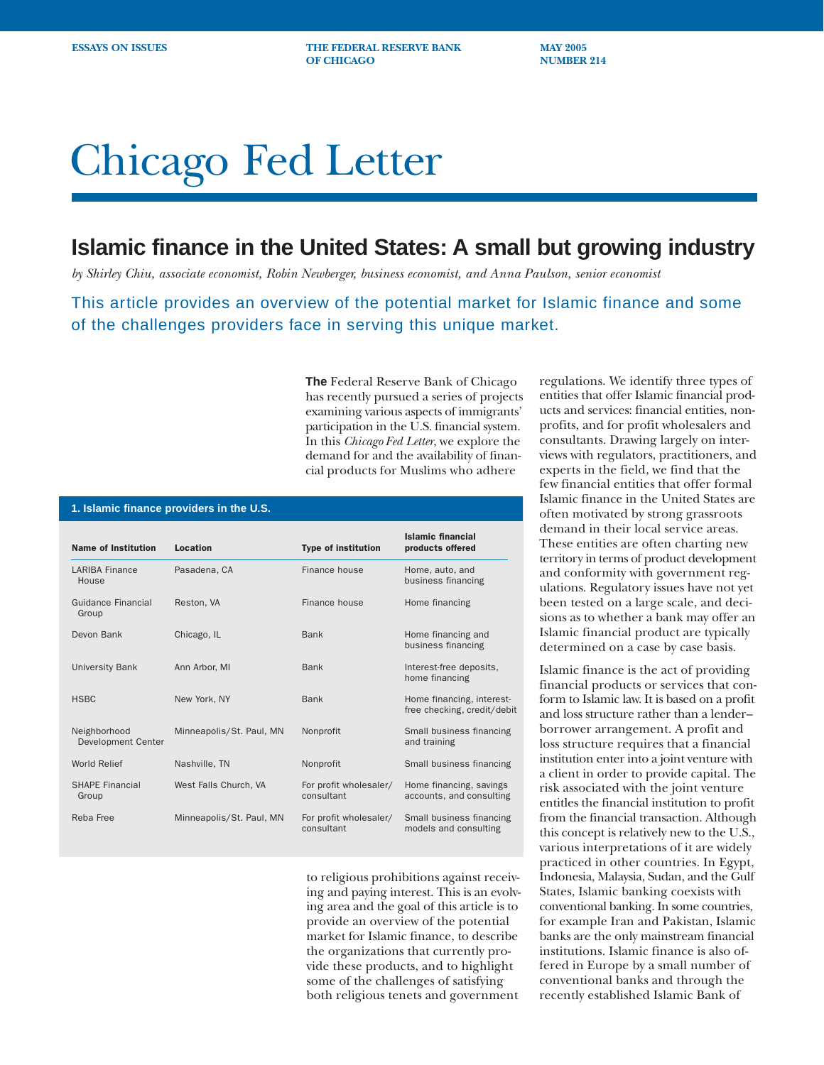**ESSAYS ON ISSUES** THE FEDERAL RESERVE BANK MAY 2005 **OF CHICAGO NUMBER 214** 

# Chicago Fed Letter

## **Islamic finance in the United States: A small but growing industry**

*by Shirley Chiu, associate economist, Robin Newberger, business economist, and Anna Paulson, senior economist*

This article provides an overview of the potential market for Islamic finance and some of the challenges providers face in serving this unique market.

> **The** Federal Reserve Bank of Chicago has recently pursued a series of projects examining various aspects of immigrants' participation in the U.S. financial system. In this *Chicago Fed Letter*, we explore the demand for and the availability of financial products for Muslims who adhere

| 1. Islamic finance providers in the U.S. |                          |                                      |                                                          |
|------------------------------------------|--------------------------|--------------------------------------|----------------------------------------------------------|
| <b>Name of Institution</b>               | Location                 | <b>Type of institution</b>           | <b>Islamic financial</b><br>products offered             |
| <b>LARIBA Finance</b><br>House           | Pasadena, CA             | Finance house                        | Home, auto, and<br>business financing                    |
| Guidance Financial<br>Group              | Reston, VA               | Finance house                        | Home financing                                           |
| Devon Bank                               | Chicago, IL              | <b>Bank</b>                          | Home financing and<br>business financing                 |
| <b>University Bank</b>                   | Ann Arbor, MI            | <b>Bank</b>                          | Interest-free deposits,<br>home financing                |
| <b>HSBC</b>                              | New York, NY             | <b>Bank</b>                          | Home financing, interest-<br>free checking, credit/debit |
| Neighborhood<br>Development Center       | Minneapolis/St. Paul, MN | Nonprofit                            | Small business financing<br>and training                 |
| World Relief                             | Nashville, TN            | Nonprofit                            | Small business financing                                 |
| <b>SHAPE Financial</b><br>Group          | West Falls Church, VA    | For profit wholesaler/<br>consultant | Home financing, savings<br>accounts, and consulting      |
| Reba Free                                | Minneapolis/St. Paul, MN | For profit wholesaler/<br>consultant | Small business financing<br>models and consulting        |

to religious prohibitions against receiving and paying interest. This is an evolving area and the goal of this article is to provide an overview of the potential market for Islamic finance, to describe the organizations that currently provide these products, and to highlight some of the challenges of satisfying both religious tenets and government

regulations. We identify three types of entities that offer Islamic financial products and services: financial entities, nonprofits, and for profit wholesalers and consultants. Drawing largely on interviews with regulators, practitioners, and experts in the field, we find that the few financial entities that offer formal Islamic finance in the United States are often motivated by strong grassroots demand in their local service areas. These entities are often charting new territory in terms of product development and conformity with government regulations. Regulatory issues have not yet been tested on a large scale, and decisions as to whether a bank may offer an Islamic financial product are typically determined on a case by case basis.

Islamic finance is the act of providing financial products or services that conform to Islamic law. It is based on a profit and loss structure rather than a lender– borrower arrangement. A profit and loss structure requires that a financial institution enter into a joint venture with a client in order to provide capital. The risk associated with the joint venture entitles the financial institution to profit from the financial transaction. Although this concept is relatively new to the U.S., various interpretations of it are widely practiced in other countries. In Egypt, Indonesia, Malaysia, Sudan, and the Gulf States, Islamic banking coexists with conventional banking. In some countries, for example Iran and Pakistan, Islamic banks are the only mainstream financial institutions. Islamic finance is also offered in Europe by a small number of conventional banks and through the recently established Islamic Bank of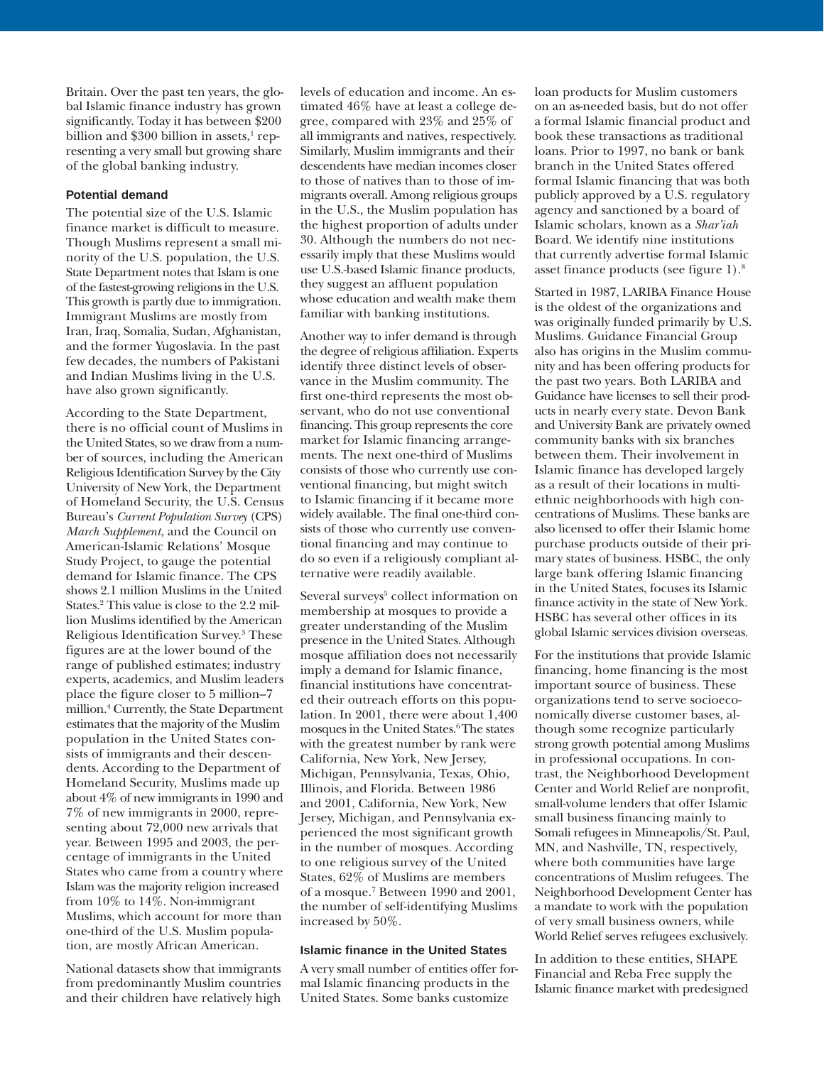Britain. Over the past ten years, the global Islamic finance industry has grown significantly. Today it has between \$200 billion and  $\$300$  billion in assets, $^1$  representing a very small but growing share of the global banking industry.

#### **Potential demand**

The potential size of the U.S. Islamic finance market is difficult to measure. Though Muslims represent a small minority of the U.S. population, the U.S. State Department notes that Islam is one of the fastest-growing religions in the U.S. This growth is partly due to immigration. Immigrant Muslims are mostly from Iran, Iraq, Somalia, Sudan, Afghanistan, and the former Yugoslavia. In the past few decades, the numbers of Pakistani and Indian Muslims living in the U.S. have also grown significantly.

According to the State Department, there is no official count of Muslims in the United States, so we draw from a number of sources, including the American Religious Identification Survey by the City University of New York, the Department of Homeland Security, the U.S. Census Bureau's *Current Population Survey* (CPS) *March Supplement*, and the Council on American-Islamic Relations' Mosque Study Project, to gauge the potential demand for Islamic finance. The CPS shows 2.1 million Muslims in the United States.2 This value is close to the 2.2 million Muslims identified by the American Religious Identification Survey.3 These figures are at the lower bound of the range of published estimates; industry experts, academics, and Muslim leaders place the figure closer to 5 million–7 million.4 Currently, the State Department estimates that the majority of the Muslim population in the United States consists of immigrants and their descendents. According to the Department of Homeland Security, Muslims made up about 4% of new immigrants in 1990 and 7% of new immigrants in 2000, representing about 72,000 new arrivals that year. Between 1995 and 2003, the percentage of immigrants in the United States who came from a country where Islam was the majority religion increased from 10% to 14%. Non-immigrant Muslims, which account for more than one-third of the U.S. Muslim population, are mostly African American.

National datasets show that immigrants from predominantly Muslim countries and their children have relatively high levels of education and income. An estimated 46% have at least a college degree, compared with 23% and 25% of all immigrants and natives, respectively. Similarly, Muslim immigrants and their descendents have median incomes closer to those of natives than to those of immigrants overall. Among religious groups in the U.S., the Muslim population has the highest proportion of adults under 30. Although the numbers do not necessarily imply that these Muslims would use U.S.-based Islamic finance products, they suggest an affluent population whose education and wealth make them familiar with banking institutions.

Another way to infer demand is through the degree of religious affiliation. Experts identify three distinct levels of observance in the Muslim community. The first one-third represents the most observant, who do not use conventional financing. This group represents the core market for Islamic financing arrangements. The next one-third of Muslims consists of those who currently use conventional financing, but might switch to Islamic financing if it became more widely available. The final one-third consists of those who currently use conventional financing and may continue to do so even if a religiously compliant alternative were readily available.

Several surveys<sup>5</sup> collect information on membership at mosques to provide a greater understanding of the Muslim presence in the United States. Although mosque affiliation does not necessarily imply a demand for Islamic finance, financial institutions have concentrated their outreach efforts on this population. In 2001, there were about 1,400 mosques in the United States.6 The states with the greatest number by rank were California, New York, New Jersey, Michigan, Pennsylvania, Texas, Ohio, Illinois, and Florida. Between 1986 and 2001, California, New York, New Jersey, Michigan, and Pennsylvania experienced the most significant growth in the number of mosques. According to one religious survey of the United States, 62% of Muslims are members of a mosque.7 Between 1990 and 2001, the number of self-identifying Muslims increased by 50%.

#### **Islamic finance in the United States**

A very small number of entities offer formal Islamic financing products in the United States. Some banks customize

loan products for Muslim customers on an as-needed basis, but do not offer a formal Islamic financial product and book these transactions as traditional loans. Prior to 1997, no bank or bank branch in the United States offered formal Islamic financing that was both publicly approved by a U.S. regulatory agency and sanctioned by a board of Islamic scholars, known as a *Shar'iah* Board. We identify nine institutions that currently advertise formal Islamic asset finance products (see figure 1).8

Started in 1987, LARIBA Finance House is the oldest of the organizations and was originally funded primarily by U.S. Muslims. Guidance Financial Group also has origins in the Muslim community and has been offering products for the past two years. Both LARIBA and Guidance have licenses to sell their products in nearly every state. Devon Bank and University Bank are privately owned community banks with six branches between them. Their involvement in Islamic finance has developed largely as a result of their locations in multiethnic neighborhoods with high concentrations of Muslims. These banks are also licensed to offer their Islamic home purchase products outside of their primary states of business. HSBC, the only large bank offering Islamic financing in the United States, focuses its Islamic finance activity in the state of New York. HSBC has several other offices in its global Islamic services division overseas.

For the institutions that provide Islamic financing, home financing is the most important source of business. These organizations tend to serve socioeconomically diverse customer bases, although some recognize particularly strong growth potential among Muslims in professional occupations. In contrast, the Neighborhood Development Center and World Relief are nonprofit, small-volume lenders that offer Islamic small business financing mainly to Somali refugees in Minneapolis/St. Paul, MN, and Nashville, TN, respectively, where both communities have large concentrations of Muslim refugees. The Neighborhood Development Center has a mandate to work with the population of very small business owners, while World Relief serves refugees exclusively.

In addition to these entities, SHAPE Financial and Reba Free supply the Islamic finance market with predesigned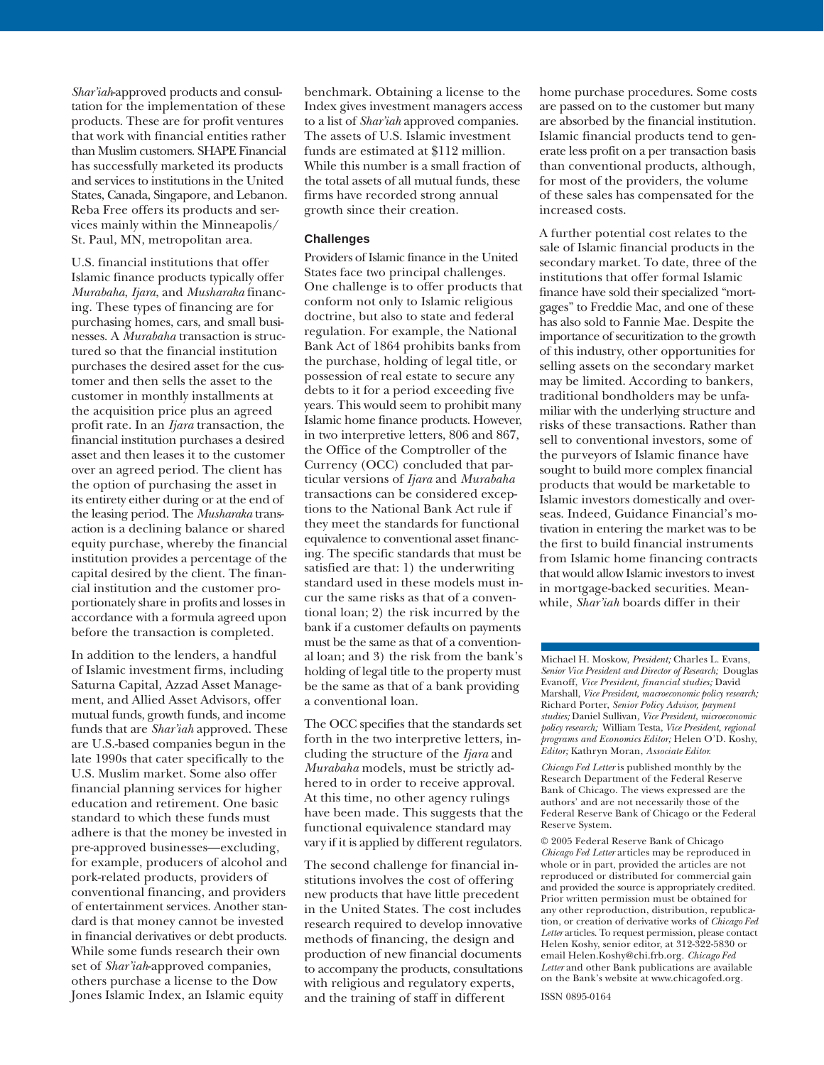*Shar'iah*-approved products and consultation for the implementation of these products. These are for profit ventures that work with financial entities rather than Muslim customers. SHAPE Financial has successfully marketed its products and services to institutions in the United States, Canada, Singapore, and Lebanon. Reba Free offers its products and services mainly within the Minneapolis/ St. Paul, MN, metropolitan area.

U.S. financial institutions that offer Islamic finance products typically offer *Murabaha*, *Ijara*, and *Musharaka* financing. These types of financing are for purchasing homes, cars, and small businesses. A *Murabaha* transaction is structured so that the financial institution purchases the desired asset for the customer and then sells the asset to the customer in monthly installments at the acquisition price plus an agreed profit rate. In an *Ijara* transaction, the financial institution purchases a desired asset and then leases it to the customer over an agreed period. The client has the option of purchasing the asset in its entirety either during or at the end of the leasing period. The *Musharaka* transaction is a declining balance or shared equity purchase, whereby the financial institution provides a percentage of the capital desired by the client. The financial institution and the customer proportionately share in profits and losses in accordance with a formula agreed upon before the transaction is completed.

In addition to the lenders, a handful of Islamic investment firms, including Saturna Capital, Azzad Asset Management, and Allied Asset Advisors, offer mutual funds, growth funds, and income funds that are *Shar'iah* approved. These are U.S.-based companies begun in the late 1990s that cater specifically to the U.S. Muslim market. Some also offer financial planning services for higher education and retirement. One basic standard to which these funds must adhere is that the money be invested in pre-approved businesses—excluding, for example, producers of alcohol and pork-related products, providers of conventional financing, and providers of entertainment services. Another standard is that money cannot be invested in financial derivatives or debt products. While some funds research their own set of *Shar'iah*-approved companies, others purchase a license to the Dow Jones Islamic Index, an Islamic equity

benchmark. Obtaining a license to the Index gives investment managers access to a list of *Shar'iah* approved companies. The assets of U.S. Islamic investment funds are estimated at \$112 million. While this number is a small fraction of the total assets of all mutual funds, these firms have recorded strong annual growth since their creation.

### **Challenges**

Providers of Islamic finance in the United States face two principal challenges. One challenge is to offer products that conform not only to Islamic religious doctrine, but also to state and federal regulation. For example, the National Bank Act of 1864 prohibits banks from the purchase, holding of legal title, or possession of real estate to secure any debts to it for a period exceeding five years. This would seem to prohibit many Islamic home finance products. However, in two interpretive letters, 806 and 867, the Office of the Comptroller of the Currency (OCC) concluded that particular versions of *Ijara* and *Murabaha* transactions can be considered exceptions to the National Bank Act rule if they meet the standards for functional equivalence to conventional asset financing. The specific standards that must be satisfied are that: 1) the underwriting standard used in these models must incur the same risks as that of a conventional loan; 2) the risk incurred by the bank if a customer defaults on payments must be the same as that of a conventional loan; and 3) the risk from the bank's holding of legal title to the property must be the same as that of a bank providing a conventional loan.

The OCC specifies that the standards set forth in the two interpretive letters, including the structure of the *Ijara* and *Murabaha* models, must be strictly adhered to in order to receive approval. At this time, no other agency rulings have been made. This suggests that the functional equivalence standard may vary if it is applied by different regulators.

The second challenge for financial institutions involves the cost of offering new products that have little precedent in the United States. The cost includes research required to develop innovative methods of financing, the design and production of new financial documents to accompany the products, consultations with religious and regulatory experts, and the training of staff in different

home purchase procedures. Some costs are passed on to the customer but many are absorbed by the financial institution. Islamic financial products tend to generate less profit on a per transaction basis than conventional products, although, for most of the providers, the volume of these sales has compensated for the increased costs.

A further potential cost relates to the sale of Islamic financial products in the secondary market. To date, three of the institutions that offer formal Islamic finance have sold their specialized "mortgages" to Freddie Mac, and one of these has also sold to Fannie Mae. Despite the importance of securitization to the growth of this industry, other opportunities for selling assets on the secondary market may be limited. According to bankers, traditional bondholders may be unfamiliar with the underlying structure and risks of these transactions. Rather than sell to conventional investors, some of the purveyors of Islamic finance have sought to build more complex financial products that would be marketable to Islamic investors domestically and overseas. Indeed, Guidance Financial's motivation in entering the market was to be the first to build financial instruments from Islamic home financing contracts that would allow Islamic investors to invest in mortgage-backed securities. Meanwhile, *Shar'iah* boards differ in their

Michael H. Moskow, *President;* Charles L. Evans, *Senior Vice President and Director of Research;* Douglas Evanoff, *Vice President, financial studies;* David Marshall, *Vice President, macroeconomic policy research;* Richard Porter, *Senior Policy Advisor, payment studies;* Daniel Sullivan*, Vice President, microeconomic policy research;* William Testa, *Vice President, regional programs and Economics Editor;* Helen O'D. Koshy, *Editor;* Kathryn Moran, *Associate Editor.*

*Chicago Fed Letter* is published monthly by the Research Department of the Federal Reserve Bank of Chicago. The views expressed are the authors' and are not necessarily those of the Federal Reserve Bank of Chicago or the Federal Reserve System.

© 2005 Federal Reserve Bank of Chicago *Chicago Fed Letter* articles may be reproduced in whole or in part, provided the articles are not reproduced or distributed for commercial gain and provided the source is appropriately credited. Prior written permission must be obtained for any other reproduction, distribution, republication, or creation of derivative works of *Chicago Fed Letter* articles. To request permission, please contact Helen Koshy, senior editor, at 312-322-5830 or email Helen.Koshy@chi.frb.org. *Chicago Fed Letter* and other Bank publications are available on the Bank's website at www.chicagofed.org.

ISSN 0895-0164